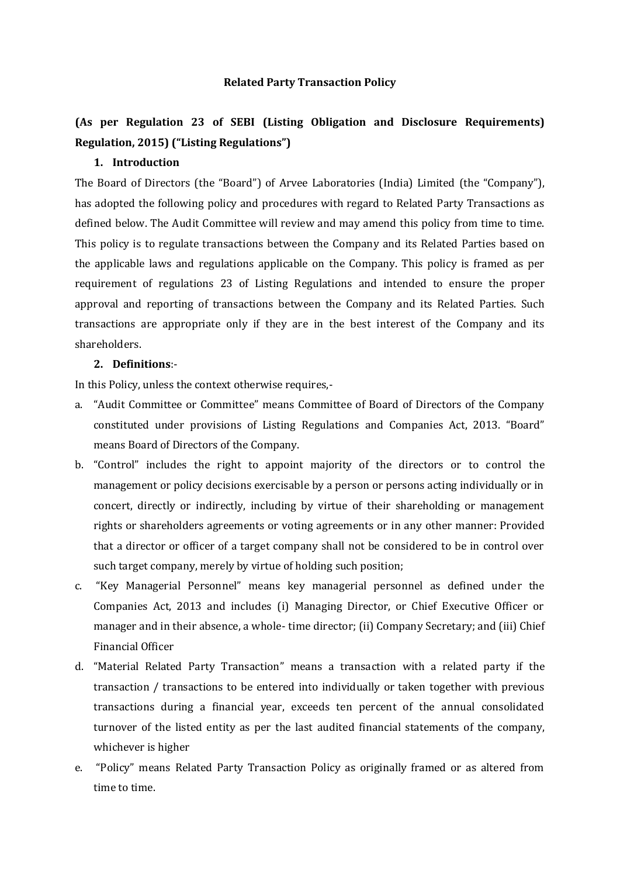## **Related Party Transaction Policy**

## **(As per Regulation 23 of SEBI (Listing Obligation and Disclosure Requirements) Regulation, 2015) ("Listing Regulations")**

## **1. Introduction**

The Board of Directors (the "Board") of Arvee Laboratories (India) Limited (the "Company"), has adopted the following policy and procedures with regard to Related Party Transactions as defined below. The Audit Committee will review and may amend this policy from time to time. This policy is to regulate transactions between the Company and its Related Parties based on the applicable laws and regulations applicable on the Company. This policy is framed as per requirement of regulations 23 of Listing Regulations and intended to ensure the proper approval and reporting of transactions between the Company and its Related Parties. Such transactions are appropriate only if they are in the best interest of the Company and its shareholders.

## **2. Definitions**:-

In this Policy, unless the context otherwise requires,-

- a. "Audit Committee or Committee" means Committee of Board of Directors of the Company constituted under provisions of Listing Regulations and Companies Act, 2013. "Board" means Board of Directors of the Company.
- b. "Control" includes the right to appoint majority of the directors or to control the management or policy decisions exercisable by a person or persons acting individually or in concert, directly or indirectly, including by virtue of their shareholding or management rights or shareholders agreements or voting agreements or in any other manner: Provided that a director or officer of a target company shall not be considered to be in control over such target company, merely by virtue of holding such position;
- c. "Key Managerial Personnel" means key managerial personnel as defined under the Companies Act, 2013 and includes (i) Managing Director, or Chief Executive Officer or manager and in their absence, a whole- time director; (ii) Company Secretary; and (iii) Chief Financial Officer
- d. "Material Related Party Transaction" means a transaction with a related party if the transaction / transactions to be entered into individually or taken together with previous transactions during a financial year, exceeds ten percent of the annual consolidated turnover of the listed entity as per the last audited financial statements of the company, whichever is higher
- e. "Policy" means Related Party Transaction Policy as originally framed or as altered from time to time.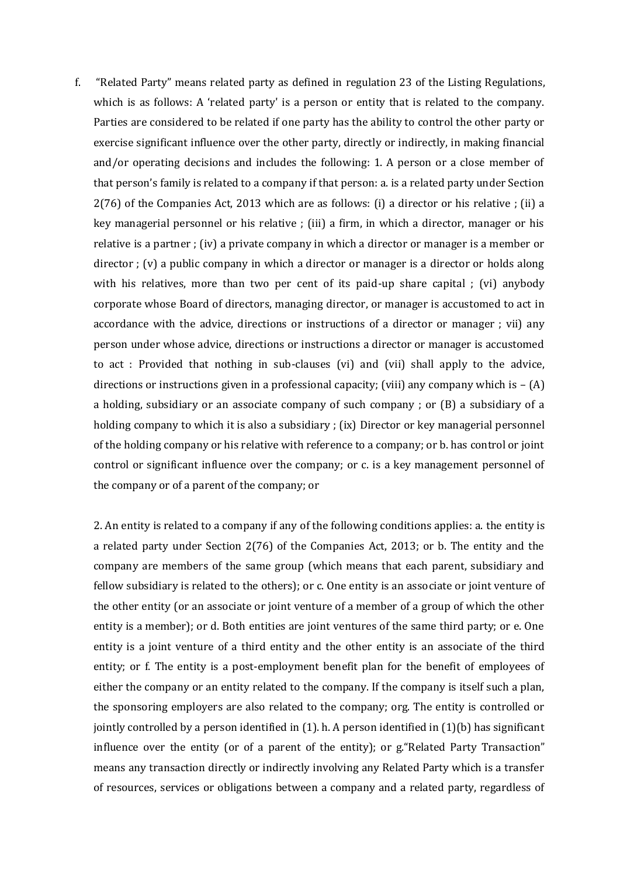f. "Related Party" means related party as defined in regulation 23 of the Listing Regulations, which is as follows: A 'related party' is a person or entity that is related to the company. Parties are considered to be related if one party has the ability to control the other party or exercise significant influence over the other party, directly or indirectly, in making financial and/or operating decisions and includes the following: 1. A person or a close member of that person's family is related to a company if that person: a. is a related party under Section 2(76) of the Companies Act, 2013 which are as follows: (i) a director or his relative ; (ii) a key managerial personnel or his relative ; (iii) a firm, in which a director, manager or his relative is a partner ; (iv) a private company in which a director or manager is a member or director ; (v) a public company in which a director or manager is a director or holds along with his relatives, more than two per cent of its paid-up share capital ; (vi) anybody corporate whose Board of directors, managing director, or manager is accustomed to act in accordance with the advice, directions or instructions of a director or manager ; vii) any person under whose advice, directions or instructions a director or manager is accustomed to act : Provided that nothing in sub-clauses (vi) and (vii) shall apply to the advice, directions or instructions given in a professional capacity; (viii) any company which is  $- (A)$ a holding, subsidiary or an associate company of such company ; or (B) a subsidiary of a holding company to which it is also a subsidiary ; (ix) Director or key managerial personnel of the holding company or his relative with reference to a company; or b. has control or joint control or significant influence over the company; or c. is a key management personnel of the company or of a parent of the company; or

2. An entity is related to a company if any of the following conditions applies: a. the entity is a related party under Section 2(76) of the Companies Act, 2013; or b. The entity and the company are members of the same group (which means that each parent, subsidiary and fellow subsidiary is related to the others); or c. One entity is an associate or joint venture of the other entity (or an associate or joint venture of a member of a group of which the other entity is a member); or d. Both entities are joint ventures of the same third party; or e. One entity is a joint venture of a third entity and the other entity is an associate of the third entity; or f. The entity is a post-employment benefit plan for the benefit of employees of either the company or an entity related to the company. If the company is itself such a plan, the sponsoring employers are also related to the company; org. The entity is controlled or jointly controlled by a person identified in  $(1)$ . h. A person identified in  $(1)(b)$  has significant influence over the entity (or of a parent of the entity); or g."Related Party Transaction" means any transaction directly or indirectly involving any Related Party which is a transfer of resources, services or obligations between a company and a related party, regardless of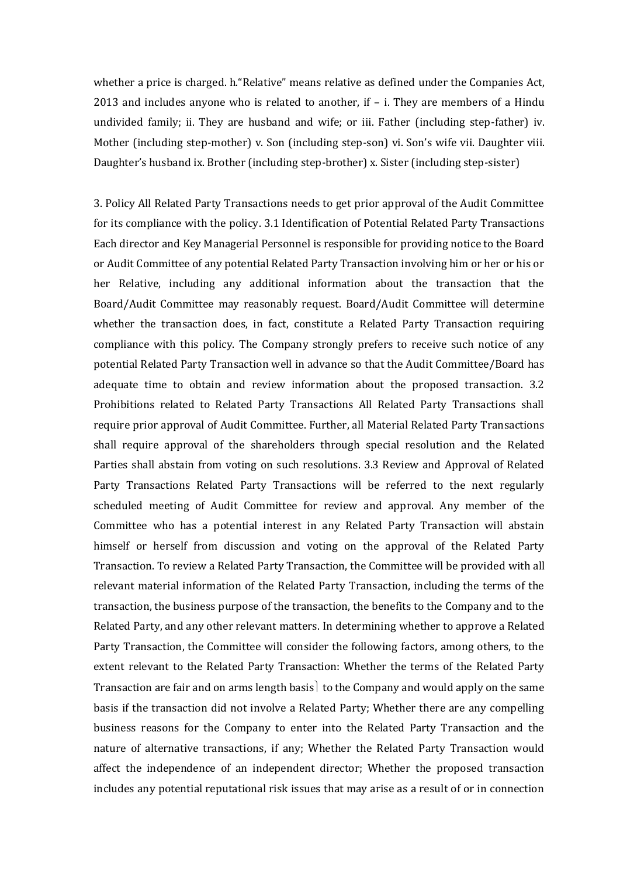whether a price is charged. h."Relative" means relative as defined under the Companies Act, 2013 and includes anyone who is related to another, if – i. They are members of a Hindu undivided family; ii. They are husband and wife; or iii. Father (including step-father) iv. Mother (including step-mother) v. Son (including step-son) vi. Son's wife vii. Daughter viii. Daughter's husband ix. Brother (including step-brother) x. Sister (including step-sister)

3. Policy All Related Party Transactions needs to get prior approval of the Audit Committee for its compliance with the policy. 3.1 Identification of Potential Related Party Transactions Each director and Key Managerial Personnel is responsible for providing notice to the Board or Audit Committee of any potential Related Party Transaction involving him or her or his or her Relative, including any additional information about the transaction that the Board/Audit Committee may reasonably request. Board/Audit Committee will determine whether the transaction does, in fact, constitute a Related Party Transaction requiring compliance with this policy. The Company strongly prefers to receive such notice of any potential Related Party Transaction well in advance so that the Audit Committee/Board has adequate time to obtain and review information about the proposed transaction. 3.2 Prohibitions related to Related Party Transactions All Related Party Transactions shall require prior approval of Audit Committee. Further, all Material Related Party Transactions shall require approval of the shareholders through special resolution and the Related Parties shall abstain from voting on such resolutions. 3.3 Review and Approval of Related Party Transactions Related Party Transactions will be referred to the next regularly scheduled meeting of Audit Committee for review and approval. Any member of the Committee who has a potential interest in any Related Party Transaction will abstain himself or herself from discussion and voting on the approval of the Related Party Transaction. To review a Related Party Transaction, the Committee will be provided with all relevant material information of the Related Party Transaction, including the terms of the transaction, the business purpose of the transaction, the benefits to the Company and to the Related Party, and any other relevant matters. In determining whether to approve a Related Party Transaction, the Committee will consider the following factors, among others, to the extent relevant to the Related Party Transaction: Whether the terms of the Related Party Transaction are fair and on arms length basis to the Company and would apply on the same basis if the transaction did not involve a Related Party; Whether there are any compelling business reasons for the Company to enter into the Related Party Transaction and the nature of alternative transactions, if any; Whether the Related Party Transaction would affect the independence of an independent director; Whether the proposed transaction includes any potential reputational risk issues that may arise as a result of or in connection